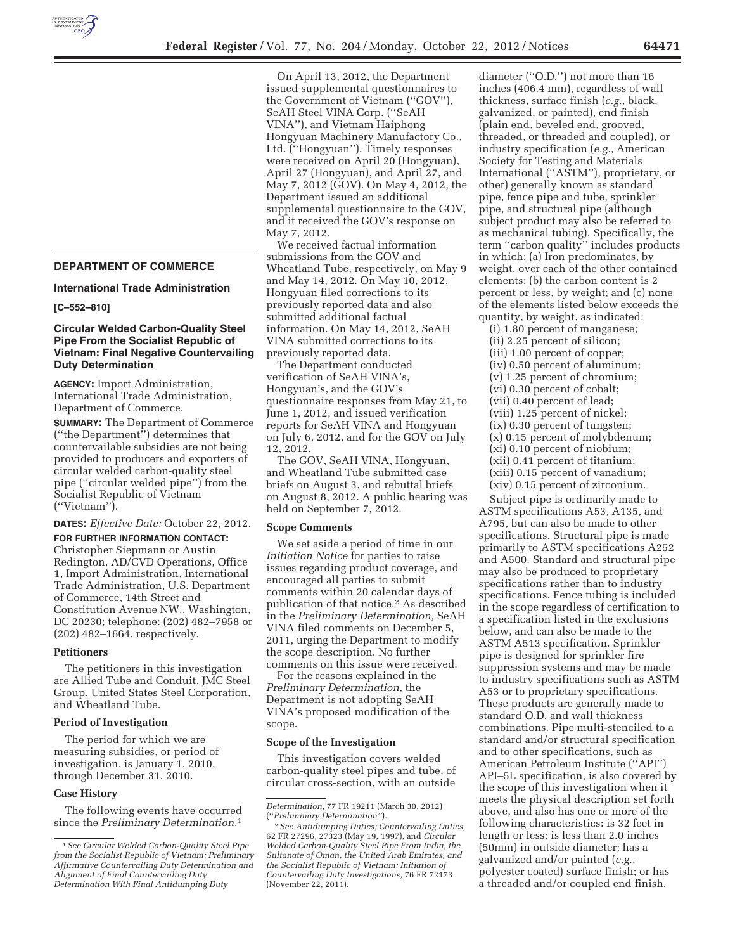

**DEPARTMENT OF COMMERCE** 

**International Trade Administration** 

#### **[C–552–810]**

# **Circular Welded Carbon-Quality Steel Pipe From the Socialist Republic of Vietnam: Final Negative Countervailing Duty Determination**

**AGENCY:** Import Administration, International Trade Administration, Department of Commerce.

**SUMMARY:** The Department of Commerce (''the Department'') determines that countervailable subsidies are not being provided to producers and exporters of circular welded carbon-quality steel pipe (''circular welded pipe'') from the Socialist Republic of Vietnam (''Vietnam'').

**DATES:** *Effective Date:* October 22, 2012.

**FOR FURTHER INFORMATION CONTACT:** 

Christopher Siepmann or Austin Redington, AD/CVD Operations, Office 1, Import Administration, International Trade Administration, U.S. Department of Commerce, 14th Street and Constitution Avenue NW., Washington, DC 20230; telephone: (202) 482–7958 or (202) 482–1664, respectively.

### **Petitioners**

The petitioners in this investigation are Allied Tube and Conduit, JMC Steel Group, United States Steel Corporation, and Wheatland Tube.

# **Period of Investigation**

The period for which we are measuring subsidies, or period of investigation, is January 1, 2010, through December 31, 2010.

#### **Case History**

The following events have occurred since the *Preliminary Determination.*1

On April 13, 2012, the Department issued supplemental questionnaires to the Government of Vietnam (''GOV''), SeAH Steel VINA Corp. (''SeAH VINA''), and Vietnam Haiphong Hongyuan Machinery Manufactory Co., Ltd. (''Hongyuan''). Timely responses were received on April 20 (Hongyuan), April 27 (Hongyuan), and April 27, and May 7, 2012 (GOV). On May 4, 2012, the Department issued an additional supplemental questionnaire to the GOV, and it received the GOV's response on May 7, 2012.

We received factual information submissions from the GOV and Wheatland Tube, respectively, on May 9 and May 14, 2012. On May 10, 2012, Hongyuan filed corrections to its previously reported data and also submitted additional factual information. On May 14, 2012, SeAH VINA submitted corrections to its previously reported data.

The Department conducted verification of SeAH VINA's, Hongyuan's, and the GOV's questionnaire responses from May 21, to June 1, 2012, and issued verification reports for SeAH VINA and Hongyuan on July 6, 2012, and for the GOV on July 12, 2012.

The GOV, SeAH VINA, Hongyuan, and Wheatland Tube submitted case briefs on August 3, and rebuttal briefs on August 8, 2012. A public hearing was held on September 7, 2012.

#### **Scope Comments**

We set aside a period of time in our *Initiation Notice* for parties to raise issues regarding product coverage, and encouraged all parties to submit comments within 20 calendar days of publication of that notice.2 As described in the *Preliminary Determination,* SeAH VINA filed comments on December 5, 2011, urging the Department to modify the scope description. No further comments on this issue were received.

For the reasons explained in the *Preliminary Determination,* the Department is not adopting SeAH VINA's proposed modification of the scope.

#### **Scope of the Investigation**

This investigation covers welded carbon-quality steel pipes and tube, of circular cross-section, with an outside

diameter (''O.D.'') not more than 16 inches (406.4 mm), regardless of wall thickness, surface finish (*e.g.,* black, galvanized, or painted), end finish (plain end, beveled end, grooved, threaded, or threaded and coupled), or industry specification (*e.g.,* American Society for Testing and Materials International (''ASTM''), proprietary, or other) generally known as standard pipe, fence pipe and tube, sprinkler pipe, and structural pipe (although subject product may also be referred to as mechanical tubing). Specifically, the term ''carbon quality'' includes products in which: (a) Iron predominates, by weight, over each of the other contained elements; (b) the carbon content is 2 percent or less, by weight; and (c) none of the elements listed below exceeds the quantity, by weight, as indicated:

(i) 1.80 percent of manganese; (ii) 2.25 percent of silicon; (iii) 1.00 percent of copper; (iv) 0.50 percent of aluminum; (v) 1.25 percent of chromium; (vi) 0.30 percent of cobalt; (vii) 0.40 percent of lead; (viii) 1.25 percent of nickel; (ix) 0.30 percent of tungsten; (x) 0.15 percent of molybdenum; (xi) 0.10 percent of niobium; (xii) 0.41 percent of titanium; (xiii) 0.15 percent of vanadium; (xiv) 0.15 percent of zirconium.

Subject pipe is ordinarily made to ASTM specifications A53, A135, and A795, but can also be made to other specifications. Structural pipe is made primarily to ASTM specifications A252 and A500. Standard and structural pipe may also be produced to proprietary specifications rather than to industry specifications. Fence tubing is included in the scope regardless of certification to a specification listed in the exclusions below, and can also be made to the ASTM A513 specification. Sprinkler pipe is designed for sprinkler fire suppression systems and may be made to industry specifications such as ASTM A53 or to proprietary specifications. These products are generally made to standard O.D. and wall thickness combinations. Pipe multi-stenciled to a standard and/or structural specification and to other specifications, such as American Petroleum Institute (''API'') API–5L specification, is also covered by the scope of this investigation when it meets the physical description set forth above, and also has one or more of the following characteristics: is 32 feet in length or less; is less than 2.0 inches (50mm) in outside diameter; has a galvanized and/or painted (*e.g.,*  polyester coated) surface finish; or has a threaded and/or coupled end finish.

<sup>1</sup>*See Circular Welded Carbon-Quality Steel Pipe from the Socialist Republic of Vietnam: Preliminary Affirmative Countervailing Duty Determination and Alignment of Final Countervailing Duty Determination With Final Antidumping Duty* 

*Determination,* 77 FR 19211 (March 30, 2012) (''*Preliminary Determination''*).

<sup>2</sup>*See Antidumping Duties; Countervailing Duties,*  62 FR 27296, 27323 (May 19, 1997), and *Circular Welded Carbon-Quality Steel Pipe From India, the Sultanate of Oman, the United Arab Emirates, and the Socialist Republic of Vietnam: Initiation of Countervailing Duty Investigations,* 76 FR 72173 (November 22, 2011).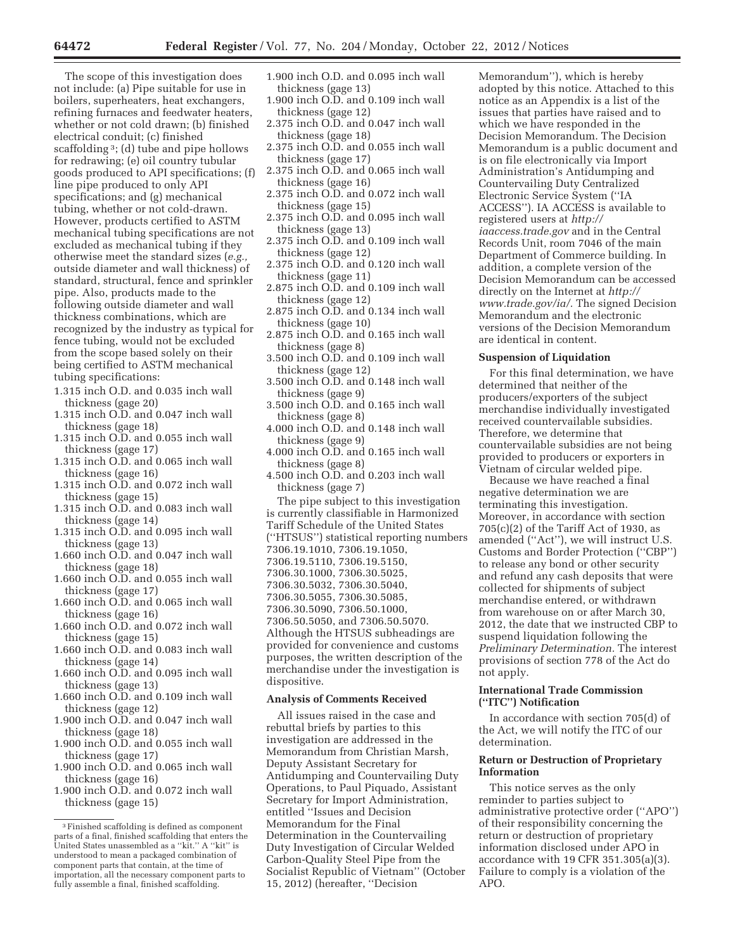The scope of this investigation does not include: (a) Pipe suitable for use in boilers, superheaters, heat exchangers, refining furnaces and feedwater heaters, whether or not cold drawn; (b) finished electrical conduit; (c) finished scaffolding 3; (d) tube and pipe hollows for redrawing; (e) oil country tubular goods produced to API specifications; (f) line pipe produced to only API specifications; and (g) mechanical tubing, whether or not cold-drawn. However, products certified to ASTM mechanical tubing specifications are not excluded as mechanical tubing if they otherwise meet the standard sizes (*e.g.,*  outside diameter and wall thickness) of standard, structural, fence and sprinkler pipe. Also, products made to the following outside diameter and wall thickness combinations, which are recognized by the industry as typical for fence tubing, would not be excluded from the scope based solely on their being certified to ASTM mechanical tubing specifications:

- 1.315 inch O.D. and 0.035 inch wall thickness (gage 20)
- 1.315 inch O.D. and 0.047 inch wall thickness (gage 18)
- 1.315 inch O.D. and 0.055 inch wall thickness (gage 17)
- 1.315 inch O.D. and 0.065 inch wall thickness (gage 16)
- 1.315 inch O.D. and 0.072 inch wall thickness (gage 15)
- 1.315 inch O.D. and 0.083 inch wall thickness (gage 14)
- 1.315 inch O.D. and 0.095 inch wall thickness (gage 13)
- 1.660 inch O.D. and 0.047 inch wall thickness (gage 18)
- 1.660 inch O.D. and 0.055 inch wall thickness (gage 17)
- 1.660 inch O.D. and 0.065 inch wall thickness (gage 16)
- 1.660 inch O.D. and 0.072 inch wall thickness (gage 15)
- 1.660 inch O.D. and 0.083 inch wall thickness (gage 14)
- 1.660 inch O.D. and 0.095 inch wall thickness (gage 13)
- 1.660 inch O.D. and 0.109 inch wall thickness (gage 12)
- 1.900 inch O.D. and 0.047 inch wall thickness (gage 18)
- 1.900 inch O.D. and 0.055 inch wall thickness (gage 17)
- 1.900 inch O.D. and 0.065 inch wall thickness (gage 16)
- 1.900 inch O.D. and 0.072 inch wall thickness (gage 15)
- 1.900 inch O.D. and 0.095 inch wall thickness (gage 13)
- 1.900 inch O.D. and 0.109 inch wall thickness (gage 12)
- 2.375 inch O.D. and 0.047 inch wall thickness (gage 18)
- 2.375 inch O.D. and 0.055 inch wall thickness (gage 17)
- 2.375 inch O.D. and 0.065 inch wall thickness (gage 16)
- 2.375 inch O.D. and 0.072 inch wall thickness (gage 15)
- 2.375 inch O.D. and 0.095 inch wall thickness (gage 13)
- 2.375 inch O.D. and 0.109 inch wall thickness (gage 12)
- 2.375 inch O.D. and 0.120 inch wall thickness (gage 11)
- 2.875 inch O.D. and 0.109 inch wall thickness (gage 12)
- 2.875 inch O.D. and 0.134 inch wall thickness (gage 10)
- 2.875 inch O.D. and 0.165 inch wall thickness (gage 8)
- 3.500 inch O.D. and 0.109 inch wall thickness (gage 12)
- 3.500 inch O.D. and 0.148 inch wall thickness (gage 9)
- 3.500 inch O.D. and 0.165 inch wall thickness (gage 8)
- 4.000 inch O.D. and 0.148 inch wall thickness (gage 9)
- 4.000 inch O.D. and 0.165 inch wall thickness (gage 8)
- 4.500 inch O.D. and 0.203 inch wall thickness (gage 7)

The pipe subject to this investigation is currently classifiable in Harmonized Tariff Schedule of the United States (''HTSUS'') statistical reporting numbers 7306.19.1010, 7306.19.1050, 7306.19.5110, 7306.19.5150, 7306.30.1000, 7306.30.5025, 7306.30.5032, 7306.30.5040, 7306.30.5055, 7306.30.5085, 7306.30.5090, 7306.50.1000, 7306.50.5050, and 7306.50.5070. Although the HTSUS subheadings are provided for convenience and customs purposes, the written description of the merchandise under the investigation is dispositive.

# **Analysis of Comments Received**

All issues raised in the case and rebuttal briefs by parties to this investigation are addressed in the Memorandum from Christian Marsh, Deputy Assistant Secretary for Antidumping and Countervailing Duty Operations, to Paul Piquado, Assistant Secretary for Import Administration, entitled ''Issues and Decision Memorandum for the Final Determination in the Countervailing Duty Investigation of Circular Welded Carbon-Quality Steel Pipe from the Socialist Republic of Vietnam'' (October 15, 2012) (hereafter, ''Decision

Memorandum''), which is hereby adopted by this notice. Attached to this notice as an Appendix is a list of the issues that parties have raised and to which we have responded in the Decision Memorandum. The Decision Memorandum is a public document and is on file electronically via Import Administration's Antidumping and Countervailing Duty Centralized Electronic Service System (''IA ACCESS''). IA ACCESS is available to registered users at *http:// iaaccess.trade.gov* and in the Central Records Unit, room 7046 of the main Department of Commerce building. In addition, a complete version of the Decision Memorandum can be accessed directly on the Internet at *http:// www.trade.gov/ia/.* The signed Decision Memorandum and the electronic versions of the Decision Memorandum are identical in content.

#### **Suspension of Liquidation**

For this final determination, we have determined that neither of the producers/exporters of the subject merchandise individually investigated received countervailable subsidies. Therefore, we determine that countervailable subsidies are not being provided to producers or exporters in Vietnam of circular welded pipe.

Because we have reached a final negative determination we are terminating this investigation. Moreover, in accordance with section 705(c)(2) of the Tariff Act of 1930, as amended (''Act''), we will instruct U.S. Customs and Border Protection (''CBP'') to release any bond or other security and refund any cash deposits that were collected for shipments of subject merchandise entered, or withdrawn from warehouse on or after March 30, 2012, the date that we instructed CBP to suspend liquidation following the *Preliminary Determination.* The interest provisions of section 778 of the Act do not apply.

# **International Trade Commission (''ITC'') Notification**

In accordance with section 705(d) of the Act, we will notify the ITC of our determination.

## **Return or Destruction of Proprietary Information**

This notice serves as the only reminder to parties subject to administrative protective order (''APO'') of their responsibility concerning the return or destruction of proprietary information disclosed under APO in accordance with 19 CFR 351.305(a)(3). Failure to comply is a violation of the APO.

<sup>3</sup>Finished scaffolding is defined as component parts of a final, finished scaffolding that enters the United States unassembled as a ''kit.'' A ''kit'' is understood to mean a packaged combination of component parts that contain, at the time of importation, all the necessary component parts to fully assemble a final, finished scaffolding.